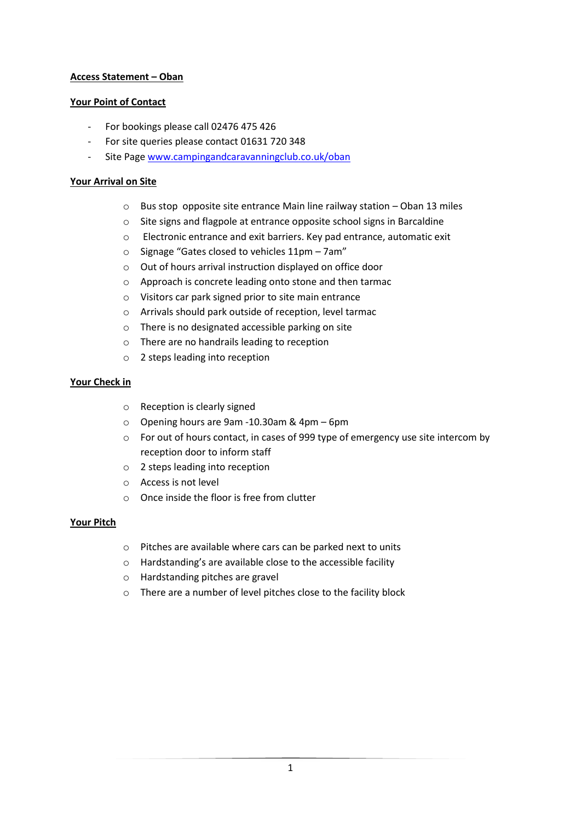# **Access Statement – Oban**

# **Your Point of Contact**

- For bookings please call 02476 475 426
- For site queries please contact 01631 720 348
- Site Page www.campingandcaravanningclub.co.uk/oban

### **Your Arrival on Site**

- o Bus stop opposite site entrance Main line railway station Oban 13 miles
- o Site signs and flagpole at entrance opposite school signs in Barcaldine
- o Electronic entrance and exit barriers. Key pad entrance, automatic exit
- o Signage "Gates closed to vehicles 11pm 7am"
- o Out of hours arrival instruction displayed on office door
- o Approach is concrete leading onto stone and then tarmac
- o Visitors car park signed prior to site main entrance
- o Arrivals should park outside of reception, level tarmac
- o There is no designated accessible parking on site
- o There are no handrails leading to reception
- o 2 steps leading into reception

# **Your Check in**

- o Reception is clearly signed
- o Opening hours are 9am -10.30am & 4pm 6pm
- o For out of hours contact, in cases of 999 type of emergency use site intercom by reception door to inform staff
- o 2 steps leading into reception
- o Access is not level
- o Once inside the floor is free from clutter

### **Your Pitch**

- o Pitches are available where cars can be parked next to units
- o Hardstanding's are available close to the accessible facility
- o Hardstanding pitches are gravel
- o There are a number of level pitches close to the facility block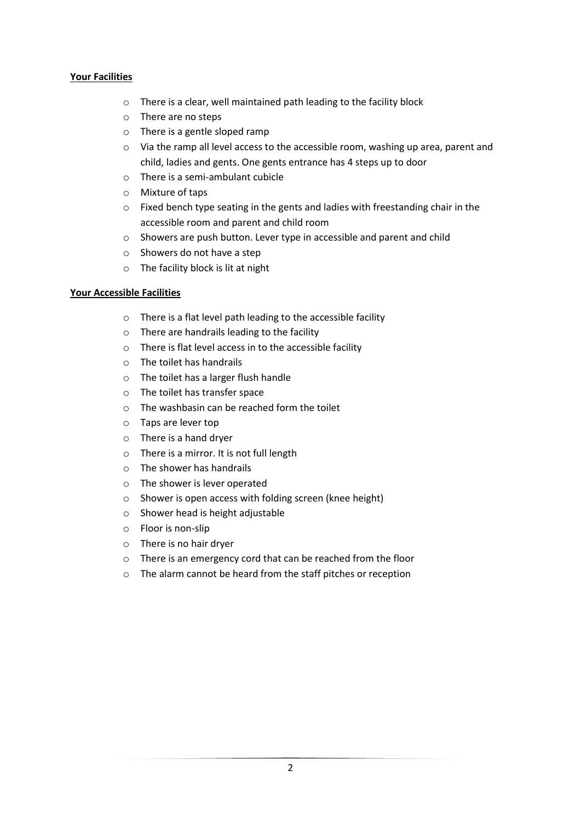# **Your Facilities**

- o There is a clear, well maintained path leading to the facility block
- o There are no steps
- o There is a gentle sloped ramp
- o Via the ramp all level access to the accessible room, washing up area, parent and child, ladies and gents. One gents entrance has 4 steps up to door
- o There is a semi-ambulant cubicle
- o Mixture of taps
- o Fixed bench type seating in the gents and ladies with freestanding chair in the accessible room and parent and child room
- o Showers are push button. Lever type in accessible and parent and child
- o Showers do not have a step
- o The facility block is lit at night

### **Your Accessible Facilities**

- o There is a flat level path leading to the accessible facility
- o There are handrails leading to the facility
- o There is flat level access in to the accessible facility
- o The toilet has handrails
- o The toilet has a larger flush handle
- o The toilet has transfer space
- o The washbasin can be reached form the toilet
- o Taps are lever top
- o There is a hand dryer
- o There is a mirror. It is not full length
- o The shower has handrails
- o The shower is lever operated
- o Shower is open access with folding screen (knee height)
- o Shower head is height adjustable
- o Floor is non-slip
- o There is no hair dryer
- o There is an emergency cord that can be reached from the floor
- o The alarm cannot be heard from the staff pitches or reception